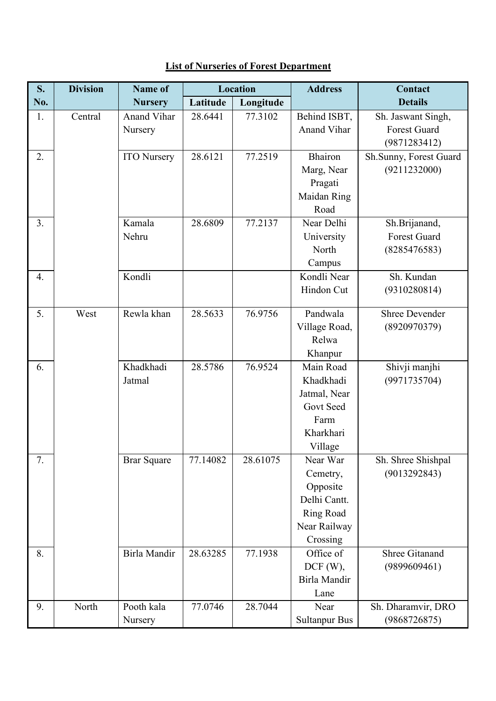| S.<br>No. | <b>Division</b> | <b>Name of</b>     | Location |           | <b>Address</b>       | Contact                |
|-----------|-----------------|--------------------|----------|-----------|----------------------|------------------------|
|           |                 | <b>Nursery</b>     | Latitude | Longitude |                      | <b>Details</b>         |
| 1.        | Central         | Anand Vihar        | 28.6441  | 77.3102   | Behind ISBT,         | Sh. Jaswant Singh,     |
|           |                 | Nursery            |          |           | Anand Vihar          | <b>Forest Guard</b>    |
|           |                 |                    |          |           |                      | (9871283412)           |
| 2.        |                 | <b>ITO Nursery</b> | 28.6121  | 77.2519   | Bhairon              | Sh.Sunny, Forest Guard |
|           |                 |                    |          |           | Marg, Near           | (9211232000)           |
|           |                 |                    |          |           | Pragati              |                        |
|           |                 |                    |          |           | Maidan Ring          |                        |
|           |                 |                    |          |           | Road                 |                        |
| 3.        |                 | Kamala             | 28.6809  | 77.2137   | Near Delhi           | Sh.Brijanand,          |
|           |                 | Nehru              |          |           | University           | Forest Guard           |
|           |                 |                    |          |           | North                | (8285476583)           |
|           |                 |                    |          |           | Campus               |                        |
| 4.        |                 | Kondli             |          |           | Kondli Near          | Sh. Kundan             |
|           |                 |                    |          |           | Hindon Cut           | (9310280814)           |
|           |                 |                    |          |           |                      |                        |
| 5.        | West            | Rewla khan         | 28.5633  | 76.9756   | Pandwala             | <b>Shree Devender</b>  |
|           |                 |                    |          |           | Village Road,        | (8920970379)           |
|           |                 |                    |          |           | Relwa                |                        |
|           |                 |                    |          |           | Khanpur              |                        |
| 6.        |                 | Khadkhadi          | 28.5786  | 76.9524   | Main Road            | Shivji manjhi          |
|           |                 | Jatmal             |          |           | Khadkhadi            | (9971735704)           |
|           |                 |                    |          |           | Jatmal, Near         |                        |
|           |                 |                    |          |           | Govt Seed            |                        |
|           |                 |                    |          |           | Farm                 |                        |
|           |                 |                    |          |           | Kharkhari            |                        |
|           |                 |                    |          |           | Village              |                        |
| 7.        |                 | <b>Brar Square</b> | 77.14082 | 28.61075  | Near War             | Sh. Shree Shishpal     |
|           |                 |                    |          |           | Cemetry,             | (9013292843)           |
|           |                 |                    |          |           | Opposite             |                        |
|           |                 |                    |          |           | Delhi Cantt.         |                        |
|           |                 |                    |          |           | Ring Road            |                        |
|           |                 |                    |          |           | Near Railway         |                        |
|           |                 |                    |          |           | Crossing             |                        |
| 8.        |                 | Birla Mandir       | 28.63285 | 77.1938   | Office of            | <b>Shree Gitanand</b>  |
|           |                 |                    |          |           | DCF(W),              | (9899609461)           |
|           |                 |                    |          |           | Birla Mandir         |                        |
|           |                 |                    |          |           | Lane                 |                        |
| 9.        | North           | Pooth kala         | 77.0746  | 28.7044   | Near                 | Sh. Dharamvir, DRO     |
|           |                 | Nursery            |          |           | <b>Sultanpur Bus</b> | (9868726875)           |

## **List of Nurseries of Forest Department**